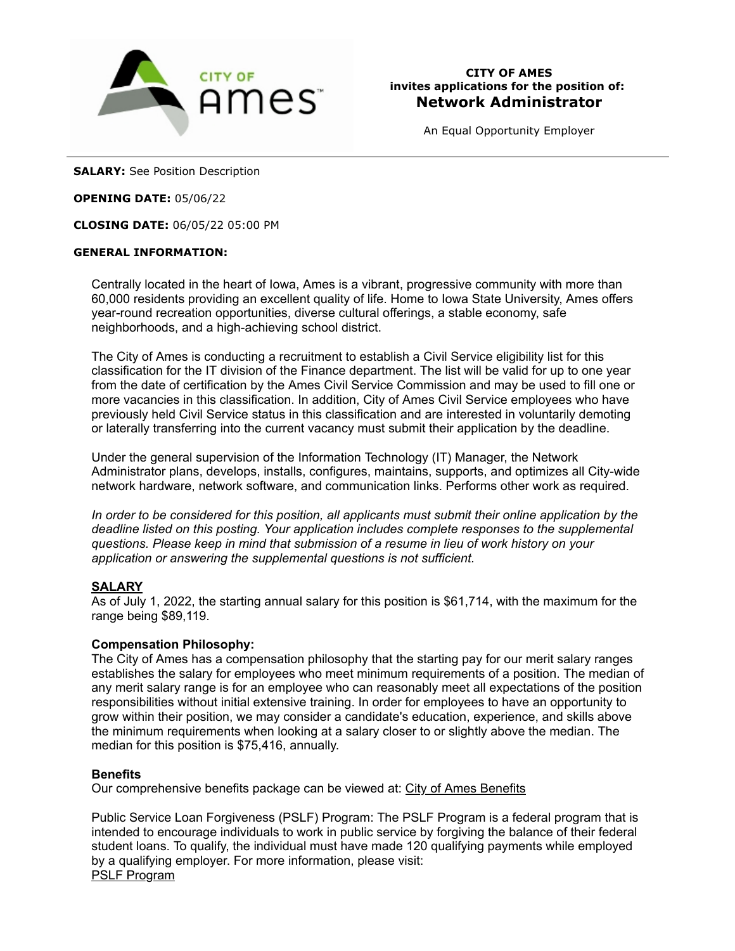

An Equal Opportunity Employer

**SALARY:** See Position Description

### **OPENING DATE:** 05/06/22

**CLOSING DATE:** 06/05/22 05:00 PM

### **GENERAL INFORMATION:**

Centrally located in the heart of Iowa, Ames is a vibrant, progressive community with more than 60,000 residents providing an excellent quality of life. Home to Iowa State University, Ames offers year-round recreation opportunities, diverse cultural offerings, a stable economy, safe neighborhoods, and a high-achieving school district.

The City of Ames is conducting a recruitment to establish a Civil Service eligibility list for this classification for the IT division of the Finance department. The list will be valid for up to one year from the date of certification by the Ames Civil Service Commission and may be used to fill one or more vacancies in this classification. In addition, City of Ames Civil Service employees who have previously held Civil Service status in this classification and are interested in voluntarily demoting or laterally transferring into the current vacancy must submit their application by the deadline.

Under the general supervision of the Information Technology (IT) Manager, the Network Administrator plans, develops, installs, configures, maintains, supports, and optimizes all City-wide network hardware, network software, and communication links. Performs other work as required.

*In order to be considered for this position, all applicants must submit their online application by the deadline listed on this posting. Your application includes complete responses to the supplemental questions. Please keep in mind that submission of a resume in lieu of work history on your application or answering the supplemental questions is not sufficient.*

# **SALARY**

As of July 1, 2022, the starting annual salary for this position is \$61,714, with the maximum for the range being \$89,119.

# **Compensation Philosophy:**

The City of Ames has a compensation philosophy that the starting pay for our merit salary ranges establishes the salary for employees who meet minimum requirements of a position. The median of any merit salary range is for an employee who can reasonably meet all expectations of the position responsibilities without initial extensive training. In order for employees to have an opportunity to grow within their position, we may consider a candidate's education, experience, and skills above the minimum requirements when looking at a salary closer to or slightly above the median. The median for this position is \$75,416, annually.

# **Benefits**

Our comprehensive benefits package can be viewed at: City of Ames Benefits

Public Service Loan Forgiveness (PSLF) Program: The PSLF Program is a federal program that is intended to encourage individuals to work in public service by forgiving the balance of their federal student loans. To qualify, the individual must have made 120 qualifying payments while employed by a qualifying employer. For more information, please visit: PSLF Program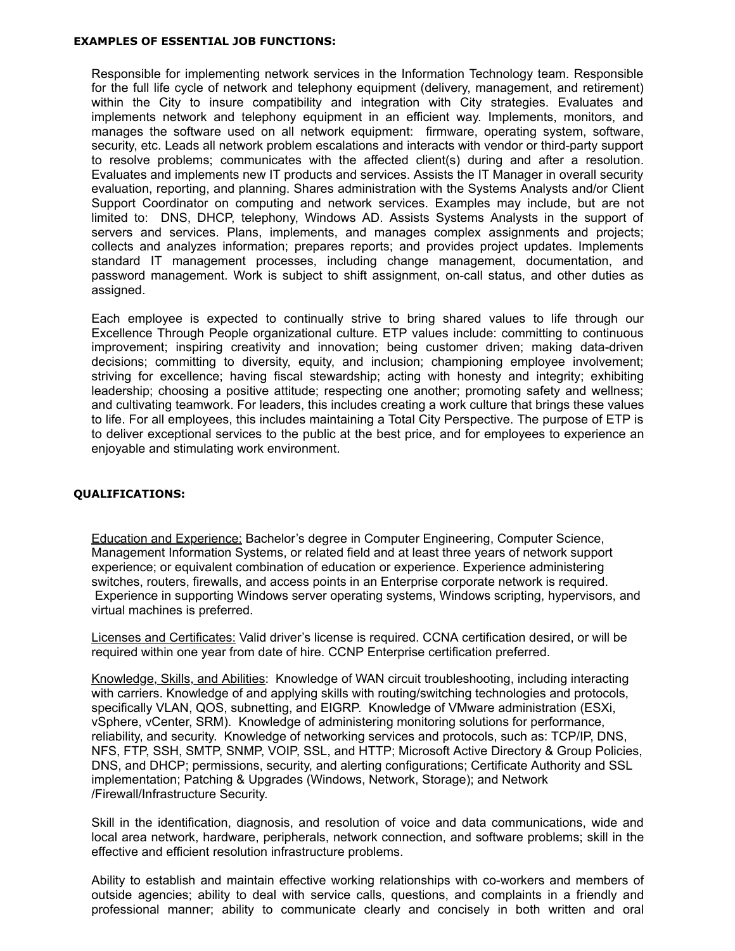#### **EXAMPLES OF ESSENTIAL JOB FUNCTIONS:**

Responsible for implementing network services in the Information Technology team. Responsible for the full life cycle of network and telephony equipment (delivery, management, and retirement) within the City to insure compatibility and integration with City strategies. Evaluates and implements network and telephony equipment in an efficient way. Implements, monitors, and manages the software used on all network equipment: firmware, operating system, software, security, etc. Leads all network problem escalations and interacts with vendor or third-party support to resolve problems; communicates with the affected client(s) during and after a resolution. Evaluates and implements new IT products and services. Assists the IT Manager in overall security evaluation, reporting, and planning. Shares administration with the Systems Analysts and/or Client Support Coordinator on computing and network services. Examples may include, but are not limited to: DNS, DHCP, telephony, Windows AD. Assists Systems Analysts in the support of servers and services. Plans, implements, and manages complex assignments and projects; collects and analyzes information; prepares reports; and provides project updates. Implements standard IT management processes, including change management, documentation, and password management. Work is subject to shift assignment, on-call status, and other duties as assigned.

Each employee is expected to continually strive to bring shared values to life through our Excellence Through People organizational culture. ETP values include: committing to continuous improvement; inspiring creativity and innovation; being customer driven; making data-driven decisions; committing to diversity, equity, and inclusion; championing employee involvement; striving for excellence; having fiscal stewardship; acting with honesty and integrity; exhibiting leadership; choosing a positive attitude; respecting one another; promoting safety and wellness; and cultivating teamwork. For leaders, this includes creating a work culture that brings these values to life. For all employees, this includes maintaining a Total City Perspective. The purpose of ETP is to deliver exceptional services to the public at the best price, and for employees to experience an enjoyable and stimulating work environment.

#### **QUALIFICATIONS:**

Education and Experience: Bachelor's degree in Computer Engineering, Computer Science, Management Information Systems, or related field and at least three years of network support experience; or equivalent combination of education or experience. Experience administering switches, routers, firewalls, and access points in an Enterprise corporate network is required. Experience in supporting Windows server operating systems, Windows scripting, hypervisors, and virtual machines is preferred.

Licenses and Certificates: Valid driver's license is required. CCNA certification desired, or will be required within one year from date of hire. CCNP Enterprise certification preferred.

Knowledge, Skills, and Abilities: Knowledge of WAN circuit troubleshooting, including interacting with carriers. Knowledge of and applying skills with routing/switching technologies and protocols, specifically VLAN, QOS, subnetting, and EIGRP. Knowledge of VMware administration (ESXi, vSphere, vCenter, SRM). Knowledge of administering monitoring solutions for performance, reliability, and security. Knowledge of networking services and protocols, such as: TCP/IP, DNS, NFS, FTP, SSH, SMTP, SNMP, VOIP, SSL, and HTTP; Microsoft Active Directory & Group Policies, DNS, and DHCP; permissions, security, and alerting configurations; Certificate Authority and SSL implementation; Patching & Upgrades (Windows, Network, Storage); and Network /Firewall/Infrastructure Security.

Skill in the identification, diagnosis, and resolution of voice and data communications, wide and local area network, hardware, peripherals, network connection, and software problems; skill in the effective and efficient resolution infrastructure problems.

Ability to establish and maintain effective working relationships with co-workers and members of outside agencies; ability to deal with service calls, questions, and complaints in a friendly and professional manner; ability to communicate clearly and concisely in both written and oral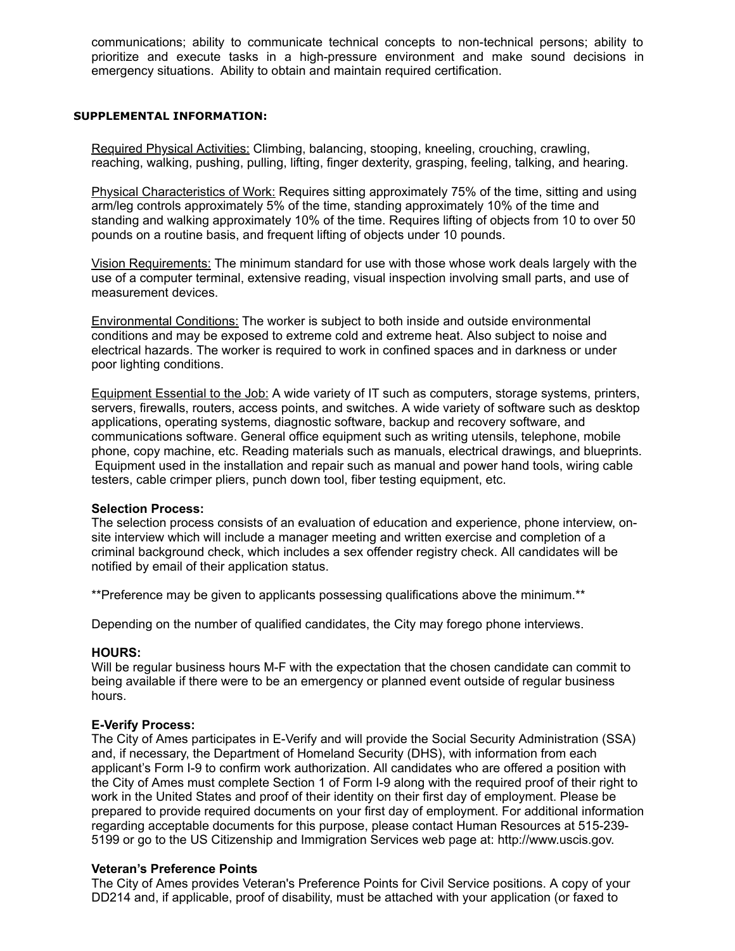communications; ability to communicate technical concepts to non-technical persons; ability to prioritize and execute tasks in a high-pressure environment and make sound decisions in emergency situations. Ability to obtain and maintain required certification.

#### **SUPPLEMENTAL INFORMATION:**

Required Physical Activities: Climbing, balancing, stooping, kneeling, crouching, crawling, reaching, walking, pushing, pulling, lifting, finger dexterity, grasping, feeling, talking, and hearing.

Physical Characteristics of Work: Requires sitting approximately 75% of the time, sitting and using arm/leg controls approximately 5% of the time, standing approximately 10% of the time and standing and walking approximately 10% of the time. Requires lifting of objects from 10 to over 50 pounds on a routine basis, and frequent lifting of objects under 10 pounds.

Vision Requirements: The minimum standard for use with those whose work deals largely with the use of a computer terminal, extensive reading, visual inspection involving small parts, and use of measurement devices.

Environmental Conditions: The worker is subject to both inside and outside environmental conditions and may be exposed to extreme cold and extreme heat. Also subject to noise and electrical hazards. The worker is required to work in confined spaces and in darkness or under poor lighting conditions.

Equipment Essential to the Job: A wide variety of IT such as computers, storage systems, printers, servers, firewalls, routers, access points, and switches. A wide variety of software such as desktop applications, operating systems, diagnostic software, backup and recovery software, and communications software. General office equipment such as writing utensils, telephone, mobile phone, copy machine, etc. Reading materials such as manuals, electrical drawings, and blueprints. Equipment used in the installation and repair such as manual and power hand tools, wiring cable testers, cable crimper pliers, punch down tool, fiber testing equipment, etc.

### **Selection Process:**

The selection process consists of an evaluation of education and experience, phone interview, onsite interview which will include a manager meeting and written exercise and completion of a criminal background check, which includes a sex offender registry check. All candidates will be notified by email of their application status.

\*\*Preference may be given to applicants possessing qualifications above the minimum.\*\*

Depending on the number of qualified candidates, the City may forego phone interviews.

### **HOURS:**

Will be regular business hours M-F with the expectation that the chosen candidate can commit to being available if there were to be an emergency or planned event outside of regular business hours.

### **E-Verify Process:**

The City of Ames participates in E-Verify and will provide the Social Security Administration (SSA) and, if necessary, the Department of Homeland Security (DHS), with information from each applicant's Form I-9 to confirm work authorization. All candidates who are offered a position with the City of Ames must complete Section 1 of Form I-9 along with the required proof of their right to work in the United States and proof of their identity on their first day of employment. Please be prepared to provide required documents on your first day of employment. For additional information regarding acceptable documents for this purpose, please contact Human Resources at 515-239- 5199 or go to the US Citizenship and Immigration Services web page at: http://www.uscis.gov.

### **Veteran's Preference Points**

The City of Ames provides Veteran's Preference Points for Civil Service positions. A copy of your DD214 and, if applicable, proof of disability, must be attached with your application (or faxed to